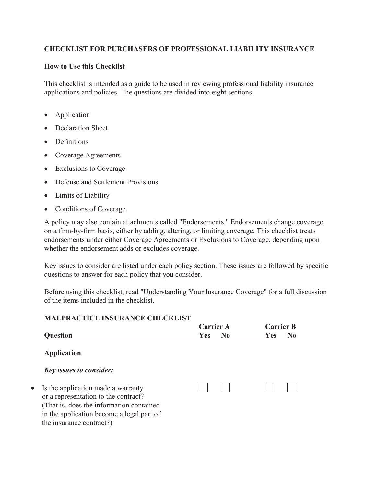# **CHECKLIST FOR PURCHASERS OF PROFESSIONAL LIABILITY INSURANCE**

#### **How to Use this Checklist**

This checklist is intended as a guide to be used in reviewing professional liability insurance applications and policies. The questions are divided into eight sections:

- Application
- Declaration Sheet
- Definitions

 $\bullet$ 

- Coverage Agreements
- Exclusions to Coverage
- Defense and Settlement Provisions
- Limits of Liability
- Conditions of Coverage

A policy may also contain attachments called "Endorsements." Endorsements change coverage on a firm-by-firm basis, either by adding, altering, or limiting coverage. This checklist treats endorsements under either Coverage Agreements or Exclusions to Coverage, depending upon whether the endorsement adds or excludes coverage.

Key issues to consider are listed under each policy section. These issues are followed by specific questions to answer for each policy that you consider.

Before using this checklist, read "Understanding Your Insurance Coverage" for a full discussion of the items included in the checklist.

#### **MALPRACTICE INSURANCE CHECKLIST**

|                                                                                                                                                                                                  | <b>Carrier A</b> |                | <b>Carrier B</b> |    |  |
|--------------------------------------------------------------------------------------------------------------------------------------------------------------------------------------------------|------------------|----------------|------------------|----|--|
| <b>Question</b>                                                                                                                                                                                  | Yes              | N <sub>0</sub> | Yes              | No |  |
| <b>Application</b>                                                                                                                                                                               |                  |                |                  |    |  |
| <b>Key issues to consider:</b>                                                                                                                                                                   |                  |                |                  |    |  |
| Is the application made a warranty<br>or a representation to the contract?<br>(That is, does the information contained)<br>in the application become a legal part of<br>the insurance contract?) |                  |                |                  |    |  |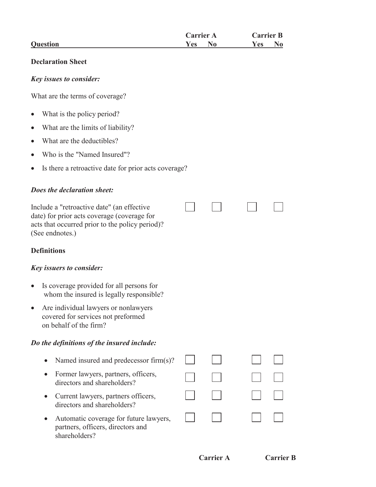| <b>Carrier A</b>        | <b>Carrier B</b> |
|-------------------------|------------------|
| <b>Question</b><br>Yes: | Y es             |

#### **Declaration Sheet**

#### *Key issues to consider:*

What are the terms of coverage?

- $\bullet$ What is the policy period?
- $\bullet$ What are the limits of liability?
- $\bullet$ What are the deductibles?
- $\bullet$ Who is the "Named Insured"?
- $\bullet$ Is there a retroactive date for prior acts coverage?

# *Does the declaration sheet:*

Include a "retroactive date" (an effective date) for prior acts coverage (coverage for acts that occurred prior to the policy period)? (See endnotes.)

# **Definitions**

# *Key issuers to consider:*

- Is coverage provided for all persons for whom the insured is legally responsible?
- Are individual lawyers or nonlawyers covered for services not preformed on behalf of the firm?

# *Do the definitions of the insured include:*

- Named insured and predecessor firm(s)?
- Former lawyers, partners, officers, directors and shareholders?
- Current lawyers, partners officers, directors and shareholders?
- Automatic coverage for future lawyers, partners, officers, directors and shareholders?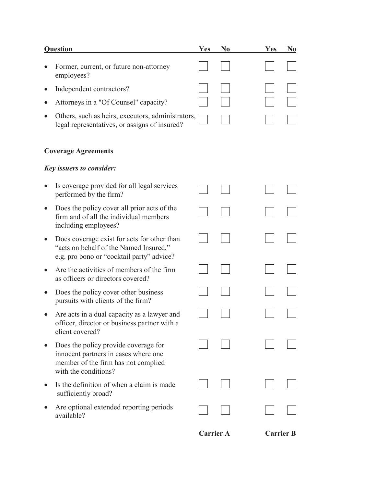| <b>Question</b>                                                                                                                             | <b>Yes</b>       | N <sub>0</sub> | <b>Yes</b> | N <sub>0</sub>   |
|---------------------------------------------------------------------------------------------------------------------------------------------|------------------|----------------|------------|------------------|
| Former, current, or future non-attorney<br>employees?                                                                                       |                  |                |            |                  |
| Independent contractors?                                                                                                                    |                  |                |            |                  |
| Attorneys in a "Of Counsel" capacity?                                                                                                       |                  |                |            |                  |
| Others, such as heirs, executors, administrators,<br>legal representatives, or assigns of insured?                                          |                  |                |            |                  |
| <b>Coverage Agreements</b>                                                                                                                  |                  |                |            |                  |
| <b>Key issuers to consider:</b>                                                                                                             |                  |                |            |                  |
| Is coverage provided for all legal services<br>performed by the firm?                                                                       |                  |                |            |                  |
| Does the policy cover all prior acts of the<br>firm and of all the individual members<br>including employees?                               |                  |                |            |                  |
| Does coverage exist for acts for other than<br>"acts on behalf of the Named Insured,"<br>e.g. pro bono or "cocktail party" advice?          |                  |                |            |                  |
| Are the activities of members of the firm<br>as officers or directors covered?                                                              |                  |                |            |                  |
| Does the policy cover other business<br>pursuits with clients of the firm?                                                                  |                  |                |            |                  |
| Are acts in a dual capacity as a lawyer and<br>officer, director or business partner with a<br>client covered?                              |                  |                |            |                  |
| Does the policy provide coverage for<br>innocent partners in cases where one<br>member of the firm has not complied<br>with the conditions? |                  |                |            |                  |
| Is the definition of when a claim is made<br>sufficiently broad?                                                                            |                  |                |            |                  |
| Are optional extended reporting periods<br>available?                                                                                       |                  |                |            |                  |
|                                                                                                                                             | <b>Carrier A</b> |                |            | <b>Carrier B</b> |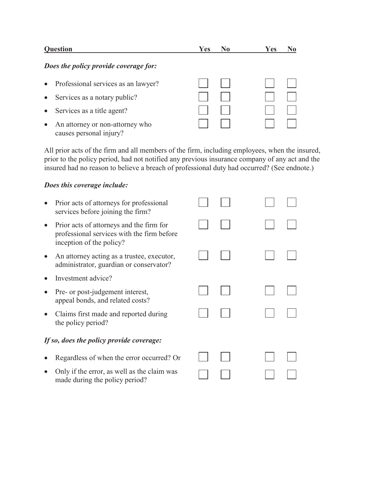| <b>Question</b>                                            | Yes | No. | Yes |  |
|------------------------------------------------------------|-----|-----|-----|--|
| Does the policy provide coverage for:                      |     |     |     |  |
| Professional services as an lawyer?<br>$\bullet$           |     |     |     |  |
| $\bullet$ Services as a notary public?                     |     |     |     |  |
| Services as a title agent?<br>$\bullet$                    |     |     |     |  |
| An attorney or non-attorney who<br>causes personal injury? |     |     |     |  |

All prior acts of the firm and all members of the firm, including employees, when the insured, prior to the policy period, had not notified any previous insurance company of any act and the insured had no reason to believe a breach of professional duty had occurred? (See endnote.)

#### *Does this coverage include:*

| Prior acts of attorneys for professional<br>services before joining the firm?                                      |  |  |  |
|--------------------------------------------------------------------------------------------------------------------|--|--|--|
| Prior acts of attorneys and the firm for<br>professional services with the firm before<br>inception of the policy? |  |  |  |
| An attorney acting as a trustee, executor,<br>administrator, guardian or conservator?                              |  |  |  |
| Investment advice?                                                                                                 |  |  |  |
| Pre- or post-judgement interest,<br>appeal bonds, and related costs?                                               |  |  |  |
| Claims first made and reported during<br>the policy period?                                                        |  |  |  |
| If so, does the policy provide coverage:                                                                           |  |  |  |
| Regardless of when the error occurred? Or                                                                          |  |  |  |
| Only if the error, as well as the claim was<br>made during the policy period?                                      |  |  |  |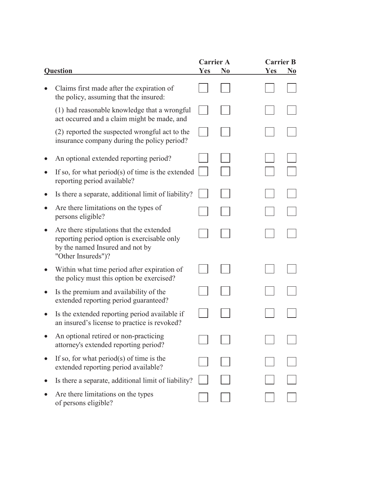|                                                                                                                                                  | <b>Carrier A</b> |                | <b>Carrier B</b> |                |
|--------------------------------------------------------------------------------------------------------------------------------------------------|------------------|----------------|------------------|----------------|
| <b>Question</b>                                                                                                                                  | Yes              | N <sub>0</sub> | <b>Yes</b>       | N <sub>0</sub> |
| Claims first made after the expiration of<br>the policy, assuming that the insured:                                                              |                  |                |                  |                |
| (1) had reasonable knowledge that a wrongful<br>act occurred and a claim might be made, and                                                      |                  |                |                  |                |
| (2) reported the suspected wrongful act to the<br>insurance company during the policy period?                                                    |                  |                |                  |                |
| An optional extended reporting period?                                                                                                           |                  |                |                  |                |
| If so, for what $period(s)$ of time is the extended<br>reporting period available?                                                               |                  |                |                  |                |
| Is there a separate, additional limit of liability?                                                                                              |                  |                |                  |                |
| Are there limitations on the types of<br>persons eligible?                                                                                       |                  |                |                  |                |
| Are there stipulations that the extended<br>reporting period option is exercisable only<br>by the named Insured and not by<br>"Other Insureds")? |                  |                |                  |                |
| Within what time period after expiration of<br>the policy must this option be exercised?                                                         |                  |                |                  |                |
| Is the premium and availability of the<br>extended reporting period guaranteed?                                                                  |                  |                |                  |                |
| Is the extended reporting period available if<br>an insured's license to practice is revoked?                                                    |                  |                |                  |                |
| An optional retired or non-practicing<br>attorney's extended reporting period?                                                                   |                  |                |                  |                |
| If so, for what period(s) of time is the<br>extended reporting period available?                                                                 |                  |                |                  |                |
| Is there a separate, additional limit of liability?                                                                                              |                  |                |                  |                |
| Are there limitations on the types<br>of persons eligible?                                                                                       |                  |                |                  |                |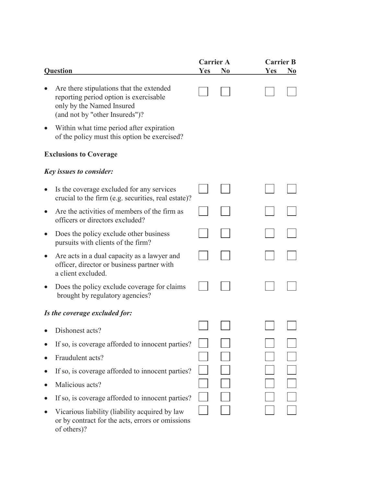|                                                                                                                                                   |            | <b>Carrier A</b> | <b>Carrier B</b> |                |
|---------------------------------------------------------------------------------------------------------------------------------------------------|------------|------------------|------------------|----------------|
| <b>Question</b>                                                                                                                                   | <b>Yes</b> | N <sub>0</sub>   | <b>Yes</b>       | N <sub>0</sub> |
| Are there stipulations that the extended<br>reporting period option is exercisable<br>only by the Named Insured<br>(and not by "other Insureds")? |            |                  |                  |                |
| Within what time period after expiration<br>of the policy must this option be exercised?                                                          |            |                  |                  |                |
| <b>Exclusions to Coverage</b>                                                                                                                     |            |                  |                  |                |
| <b>Key issues to consider:</b>                                                                                                                    |            |                  |                  |                |
| Is the coverage excluded for any services<br>crucial to the firm (e.g. securities, real estate)?                                                  |            |                  |                  |                |
| Are the activities of members of the firm as<br>officers or directors excluded?                                                                   |            |                  |                  |                |
| Does the policy exclude other business<br>pursuits with clients of the firm?                                                                      |            |                  |                  |                |
| Are acts in a dual capacity as a lawyer and<br>officer, director or business partner with<br>a client excluded.                                   |            |                  |                  |                |
| Does the policy exclude coverage for claims<br>brought by regulatory agencies?                                                                    |            |                  |                  |                |
| Is the coverage excluded for:                                                                                                                     |            |                  |                  |                |
| Dishonest acts?                                                                                                                                   |            |                  |                  |                |
| If so, is coverage afforded to innocent parties?                                                                                                  |            |                  |                  |                |
| Fraudulent acts?                                                                                                                                  |            |                  |                  |                |
| If so, is coverage afforded to innocent parties?                                                                                                  |            |                  |                  |                |
| Malicious acts?                                                                                                                                   |            |                  |                  |                |
| If so, is coverage afforded to innocent parties?                                                                                                  |            |                  |                  |                |
| Vicarious liability (liability acquired by law<br>or by contract for the acts, errors or omissions<br>of others)?                                 |            |                  |                  |                |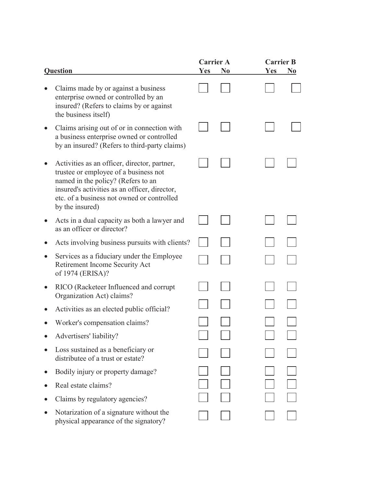|                                                                                                                                                                                                                                               | <b>Carrier A</b> |                | <b>Carrier B</b> |                |
|-----------------------------------------------------------------------------------------------------------------------------------------------------------------------------------------------------------------------------------------------|------------------|----------------|------------------|----------------|
| <b>Question</b>                                                                                                                                                                                                                               | Yes              | N <sub>0</sub> | Yes              | N <sub>0</sub> |
| Claims made by or against a business<br>enterprise owned or controlled by an<br>insured? (Refers to claims by or against<br>the business itself)                                                                                              |                  |                |                  |                |
| Claims arising out of or in connection with<br>a business enterprise owned or controlled<br>by an insured? (Refers to third-party claims)                                                                                                     |                  |                |                  |                |
| Activities as an officer, director, partner,<br>trustee or employee of a business not<br>named in the policy? (Refers to an<br>insured's activities as an officer, director,<br>etc. of a business not owned or controlled<br>by the insured) |                  |                |                  |                |
| Acts in a dual capacity as both a lawyer and<br>as an officer or director?                                                                                                                                                                    |                  |                |                  |                |
| Acts involving business pursuits with clients?                                                                                                                                                                                                |                  |                |                  |                |
| Services as a fiduciary under the Employee<br>Retirement Income Security Act<br>of 1974 (ERISA)?                                                                                                                                              |                  |                |                  |                |
| RICO (Racketeer Influenced and corrupt<br>Organization Act) claims?                                                                                                                                                                           |                  |                |                  |                |
| Activities as an elected public official?                                                                                                                                                                                                     |                  |                |                  |                |
| Worker's compensation claims?                                                                                                                                                                                                                 |                  |                |                  |                |
| Advertisers' liability?                                                                                                                                                                                                                       |                  |                |                  |                |
| Loss sustained as a beneficiary or<br>distributee of a trust or estate?                                                                                                                                                                       |                  |                |                  |                |
| Bodily injury or property damage?                                                                                                                                                                                                             |                  |                |                  |                |
| Real estate claims?                                                                                                                                                                                                                           |                  |                |                  |                |
| Claims by regulatory agencies?                                                                                                                                                                                                                |                  |                |                  |                |
| Notarization of a signature without the<br>physical appearance of the signatory?                                                                                                                                                              |                  |                |                  |                |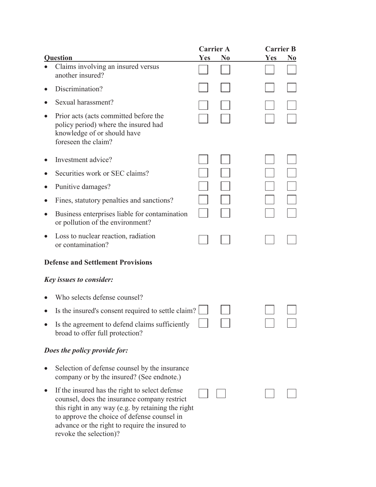|                                                                                                                                                                                                                                                                                 |            | <b>Carrier A</b> | <b>Carrier B</b> |                |
|---------------------------------------------------------------------------------------------------------------------------------------------------------------------------------------------------------------------------------------------------------------------------------|------------|------------------|------------------|----------------|
| Question                                                                                                                                                                                                                                                                        | <b>Yes</b> | N <sub>0</sub>   | <b>Yes</b>       | N <sub>0</sub> |
| Claims involving an insured versus<br>another insured?                                                                                                                                                                                                                          |            |                  |                  |                |
| Discrimination?                                                                                                                                                                                                                                                                 |            |                  |                  |                |
| Sexual harassment?                                                                                                                                                                                                                                                              |            |                  |                  |                |
| Prior acts (acts committed before the<br>policy period) where the insured had<br>knowledge of or should have<br>foreseen the claim?                                                                                                                                             |            |                  |                  |                |
| Investment advice?                                                                                                                                                                                                                                                              |            |                  |                  |                |
| Securities work or SEC claims?                                                                                                                                                                                                                                                  |            |                  |                  |                |
| Punitive damages?                                                                                                                                                                                                                                                               |            |                  |                  |                |
| Fines, statutory penalties and sanctions?                                                                                                                                                                                                                                       |            |                  |                  |                |
| Business enterprises liable for contamination<br>or pollution of the environment?                                                                                                                                                                                               |            |                  |                  |                |
| Loss to nuclear reaction, radiation<br>or contamination?                                                                                                                                                                                                                        |            |                  |                  |                |
| <b>Defense and Settlement Provisions</b>                                                                                                                                                                                                                                        |            |                  |                  |                |
| <b>Key issues to consider:</b>                                                                                                                                                                                                                                                  |            |                  |                  |                |
| Who selects defense counsel?                                                                                                                                                                                                                                                    |            |                  |                  |                |
| Is the insured's consent required to settle claim?                                                                                                                                                                                                                              |            |                  |                  |                |
| Is the agreement to defend claims sufficiently<br>broad to offer full protection?                                                                                                                                                                                               |            |                  |                  |                |
| Does the policy provide for:                                                                                                                                                                                                                                                    |            |                  |                  |                |
| Selection of defense counsel by the insurance<br>company or by the insured? (See endnote.)                                                                                                                                                                                      |            |                  |                  |                |
| If the insured has the right to select defense<br>counsel, does the insurance company restrict<br>this right in any way (e.g. by retaining the right<br>to approve the choice of defense counsel in<br>advance or the right to require the insured to<br>revoke the selection)? |            |                  |                  |                |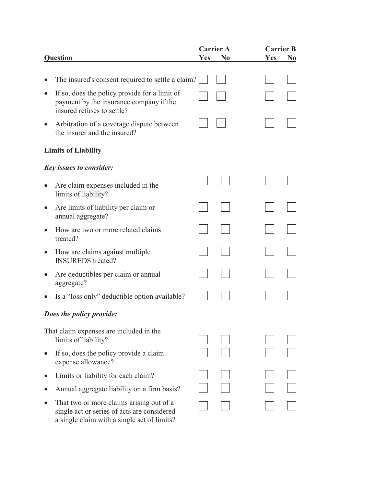| <b>Question</b>                                                                                                                        | <b>Yes</b> | <b>Carrier A</b><br>N <sub>0</sub> | <b>Carrier B</b><br>Yes | N <sub>0</sub> |
|----------------------------------------------------------------------------------------------------------------------------------------|------------|------------------------------------|-------------------------|----------------|
|                                                                                                                                        |            |                                    |                         |                |
| The insured's consent required to settle a claim?                                                                                      |            |                                    |                         |                |
| If so, does the policy provide for a limit of<br>payment by the insurance company if the<br>insured refuses to settle?                 |            |                                    |                         |                |
| Arbitration of a coverage dispute between<br>the insurer and the insured?                                                              |            |                                    |                         |                |
| <b>Limits of Liability</b>                                                                                                             |            |                                    |                         |                |
| <b>Key issues to consider:</b>                                                                                                         |            |                                    |                         |                |
| Are claim expenses included in the<br>limits of liability?                                                                             |            |                                    |                         |                |
| Are limits of liability per claim or<br>annual aggregate?                                                                              |            |                                    |                         |                |
| How are two or more related claims<br>treated?                                                                                         |            |                                    |                         |                |
| How are claims against multiple<br><b>INSUREDS</b> treated?                                                                            |            |                                    |                         |                |
| Are deductibles per claim or annual<br>aggregate?                                                                                      |            |                                    |                         |                |
| Is a "loss only" deductible option available?                                                                                          |            |                                    |                         |                |
| Does the policy provide:                                                                                                               |            |                                    |                         |                |
| That claim expenses are included in the<br>limits of liability?                                                                        |            |                                    |                         |                |
| If so, does the policy provide a claim<br>expense allowance?                                                                           |            |                                    |                         |                |
| Limits or liability for each claim?                                                                                                    |            |                                    |                         |                |
| Annual aggregate liability on a firm basis?                                                                                            |            |                                    |                         |                |
| That two or more claims arising out of a<br>single act or series of acts are considered<br>a single claim with a single set of limits? |            |                                    |                         |                |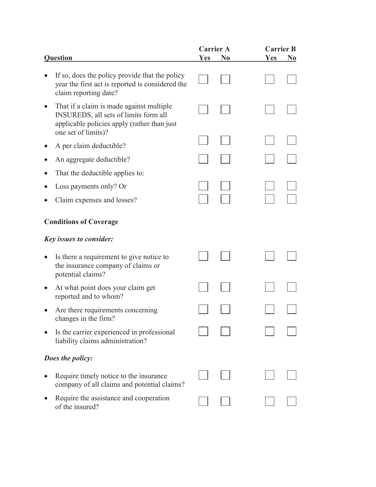|                                                                                                                                                         | <b>Carrier A</b> |                |     | <b>Carrier B</b> |
|---------------------------------------------------------------------------------------------------------------------------------------------------------|------------------|----------------|-----|------------------|
| <b>Question</b>                                                                                                                                         | <b>Yes</b>       | N <sub>0</sub> | Yes | N <sub>0</sub>   |
| If so, does the policy provide that the policy<br>year the first act is reported is considered the<br>claim reporting date?                             |                  |                |     |                  |
| That if a claim is made against multiple<br>INSUREDS, all sets of limits form all<br>applicable policies apply (rather than just<br>one set of limits)? |                  |                |     |                  |
| A per claim deductible?                                                                                                                                 |                  |                |     |                  |
| An aggregate deductible?                                                                                                                                |                  |                |     |                  |
| That the deductible applies to:                                                                                                                         |                  |                |     |                  |
| Loss payments only? Or                                                                                                                                  |                  |                |     |                  |
| Claim expenses and losses?                                                                                                                              |                  |                |     |                  |
| <b>Conditions of Coverage</b>                                                                                                                           |                  |                |     |                  |
| <b>Key issues to consider:</b>                                                                                                                          |                  |                |     |                  |
| Is there a requirement to give notice to<br>the insurance company of claims or<br>potential claims?                                                     |                  |                |     |                  |
| At what point does your claim get<br>reported and to whom?                                                                                              |                  |                |     |                  |
| Are there requirements concerning<br>changes in the firm?                                                                                               |                  |                |     |                  |
| Is the carrier experienced in professional<br>liability claims administration?                                                                          |                  |                |     |                  |
| Does the policy:                                                                                                                                        |                  |                |     |                  |
| Require timely notice to the insurance<br>company of all claims and potential claims?                                                                   |                  |                |     |                  |
| Require the assistance and cooperation<br>of the insured?                                                                                               |                  |                |     |                  |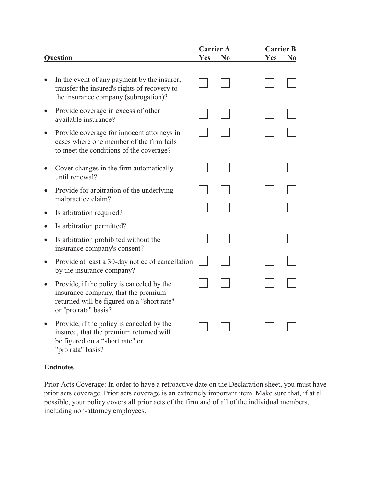|           |                                                                                                                                                        | <b>Carrier A</b> |                | <b>Carrier B</b> |                |
|-----------|--------------------------------------------------------------------------------------------------------------------------------------------------------|------------------|----------------|------------------|----------------|
|           | <b>Question</b>                                                                                                                                        | <b>Yes</b>       | N <sub>0</sub> | <b>Yes</b>       | N <sub>0</sub> |
|           | In the event of any payment by the insurer,<br>transfer the insured's rights of recovery to<br>the insurance company (subrogation)?                    |                  |                |                  |                |
|           | Provide coverage in excess of other<br>available insurance?                                                                                            |                  |                |                  |                |
|           | Provide coverage for innocent attorneys in<br>cases where one member of the firm fails<br>to meet the conditions of the coverage?                      |                  |                |                  |                |
|           | Cover changes in the firm automatically<br>until renewal?                                                                                              |                  |                |                  |                |
|           | Provide for arbitration of the underlying<br>malpractice claim?                                                                                        |                  |                |                  |                |
| $\bullet$ | Is arbitration required?                                                                                                                               |                  |                |                  |                |
|           | Is arbitration permitted?                                                                                                                              |                  |                |                  |                |
|           | Is arbitration prohibited without the<br>insurance company's consent?                                                                                  |                  |                |                  |                |
|           | Provide at least a 30-day notice of cancellation<br>by the insurance company?                                                                          |                  |                |                  |                |
|           | Provide, if the policy is canceled by the<br>insurance company, that the premium<br>returned will be figured on a "short rate"<br>or "pro rata" basis? |                  |                |                  |                |
|           | Provide, if the policy is canceled by the<br>insured, that the premium returned will<br>be figured on a "short rate" or<br>"pro rata" basis?           |                  |                |                  |                |

# **Endnotes**

Prior Acts Coverage: In order to have a retroactive date on the Declaration sheet, you must have prior acts coverage. Prior acts coverage is an extremely important item. Make sure that, if at all possible, your policy covers all prior acts of the firm and of all of the individual members, including non-attorney employees.